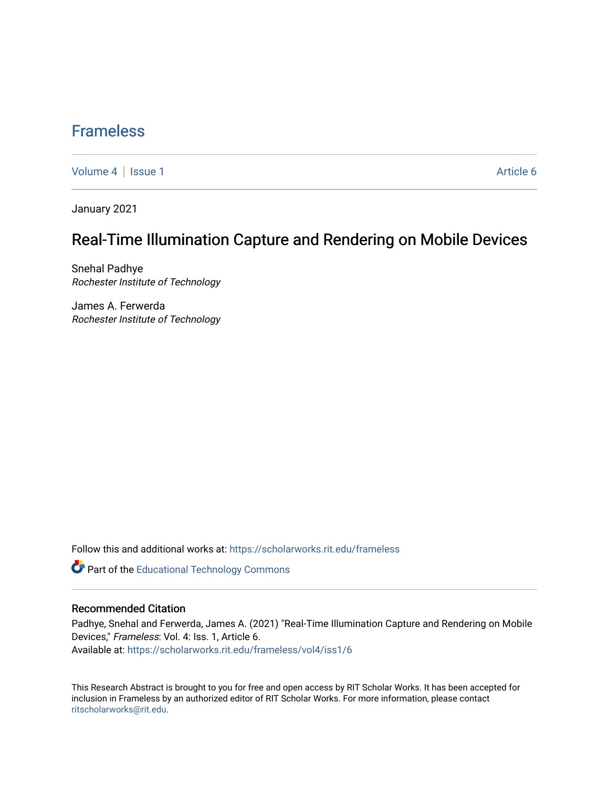## [Frameless](https://scholarworks.rit.edu/frameless)

[Volume 4](https://scholarworks.rit.edu/frameless/vol4) | [Issue 1](https://scholarworks.rit.edu/frameless/vol4/iss1) Article 6

January 2021

## Real-Time Illumination Capture and Rendering on Mobile Devices

Snehal Padhye Rochester Institute of Technology

James A. Ferwerda Rochester Institute of Technology

Follow this and additional works at: [https://scholarworks.rit.edu/frameless](https://scholarworks.rit.edu/frameless?utm_source=scholarworks.rit.edu%2Fframeless%2Fvol4%2Fiss1%2F6&utm_medium=PDF&utm_campaign=PDFCoverPages)

**Part of the Educational Technology Commons** 

#### Recommended Citation

Padhye, Snehal and Ferwerda, James A. (2021) "Real-Time Illumination Capture and Rendering on Mobile Devices," Frameless: Vol. 4: Iss. 1, Article 6. Available at: [https://scholarworks.rit.edu/frameless/vol4/iss1/6](https://scholarworks.rit.edu/frameless/vol4/iss1/6?utm_source=scholarworks.rit.edu%2Fframeless%2Fvol4%2Fiss1%2F6&utm_medium=PDF&utm_campaign=PDFCoverPages)

This Research Abstract is brought to you for free and open access by RIT Scholar Works. It has been accepted for inclusion in Frameless by an authorized editor of RIT Scholar Works. For more information, please contact [ritscholarworks@rit.edu](mailto:ritscholarworks@rit.edu).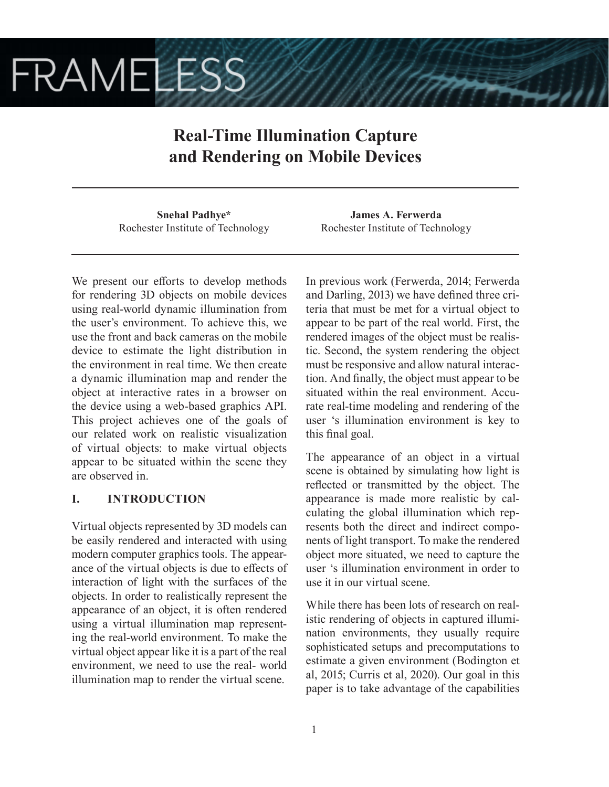# **FRAMELESS**

# **Real-Time Illumination Capture and Rendering on Mobile Devices**

**Snehal Padhye\*** Rochester Institute of Technology

We present our efforts to develop methods for rendering 3D objects on mobile devices using real-world dynamic illumination from the user's environment. To achieve this, we use the front and back cameras on the mobile device to estimate the light distribution in the environment in real time. We then create a dynamic illumination map and render the object at interactive rates in a browser on the device using a web-based graphics API. This project achieves one of the goals of our related work on realistic visualization of virtual objects: to make virtual objects appear to be situated within the scene they are observed in.

## **I. INTRODUCTION**

Virtual objects represented by 3D models can be easily rendered and interacted with using modern computer graphics tools. The appearance of the virtual objects is due to effects of interaction of light with the surfaces of the objects. In order to realistically represent the appearance of an object, it is often rendered using a virtual illumination map representing the real-world environment. To make the virtual object appear like it is a part of the real environment, we need to use the real- world illumination map to render the virtual scene.

**James A. Ferwerda** Rochester Institute of Technology

In previous work (Ferwerda, 2014; Ferwerda and Darling, 2013) we have defined three criteria that must be met for a virtual object to appear to be part of the real world. First, the rendered images of the object must be realistic. Second, the system rendering the object must be responsive and allow natural interaction. And finally, the object must appear to be situated within the real environment. Accurate real-time modeling and rendering of the user 's illumination environment is key to this final goal.

The appearance of an object in a virtual scene is obtained by simulating how light is reflected or transmitted by the object. The appearance is made more realistic by calculating the global illumination which represents both the direct and indirect components of light transport. To make the rendered object more situated, we need to capture the user 's illumination environment in order to use it in our virtual scene.

While there has been lots of research on realistic rendering of objects in captured illumination environments, they usually require sophisticated setups and precomputations to estimate a given environment (Bodington et al, 2015; Curris et al, 2020). Our goal in this paper is to take advantage of the capabilities